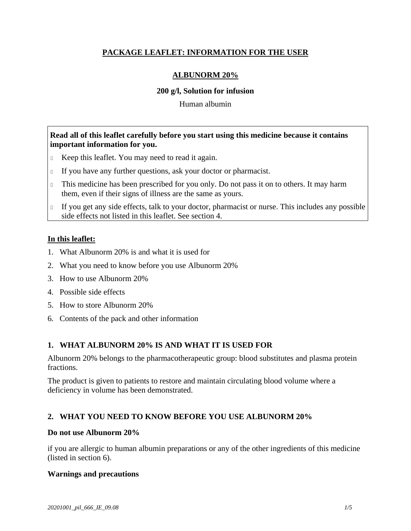# **PACKAGE LEAFLET: INFORMATION FOR THE USER**

## **ALBUNORM 20%**

### **200 g/l, Solution for infusion**

Human albumin

## **Read all of this leaflet carefully before you start using this medicine because it contains important information for you.**

- Keep this leaflet. You may need to read it again.
- If you have any further questions, ask your doctor or pharmacist.
- This medicine has been prescribed for you only. Do not pass it on to others. It may harm them, even if their signs of illness are the same as yours.
- If you get any side effects, talk to your doctor, pharmacist or nurse. This includes any possible side effects not listed in this leaflet. See section 4.

### **In this leaflet:**

- 1. What Albunorm 20% is and what it is used for
- 2. What you need to know before you use Albunorm 20%
- 3. How to use Albunorm 20%
- 4. Possible side effects
- 5. How to store Albunorm 20%
- 6. Contents of the pack and other information

# **1. WHAT ALBUNORM 20% IS AND WHAT IT IS USED FOR**

Albunorm 20% belongs to the pharmacotherapeutic group: blood substitutes and plasma protein fractions.

The product is given to patients to restore and maintain circulating blood volume where a deficiency in volume has been demonstrated.

# **2. WHAT YOU NEED TO KNOW BEFORE YOU USE ALBUNORM 20%**

### **Do not use Albunorm 20%**

if you are allergic to human albumin preparations or any of the other ingredients of this medicine (listed in section 6).

### **Warnings and precautions**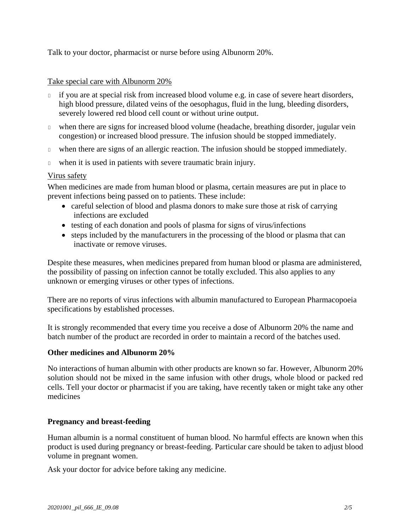Talk to your doctor, pharmacist or nurse before using Albunorm 20%.

### Take special care with Albunorm 20%

- if you are at special risk from increased blood volume e.g. in case of severe heart disorders, high blood pressure, dilated veins of the oesophagus, fluid in the lung, bleeding disorders, severely lowered red blood cell count or without urine output.
- when there are signs for increased blood volume (headache, breathing disorder, jugular vein congestion) or increased blood pressure. The infusion should be stopped immediately.
- when there are signs of an allergic reaction. The infusion should be stopped immediately.
- when it is used in patients with severe traumatic brain injury.

## Virus safety

When medicines are made from human blood or plasma, certain measures are put in place to prevent infections being passed on to patients. These include:

- careful selection of blood and plasma donors to make sure those at risk of carrying infections are excluded
- testing of each donation and pools of plasma for signs of virus/infections
- steps included by the manufacturers in the processing of the blood or plasma that can inactivate or remove viruses.

Despite these measures, when medicines prepared from human blood or plasma are administered, the possibility of passing on infection cannot be totally excluded. This also applies to any unknown or emerging viruses or other types of infections.

There are no reports of virus infections with albumin manufactured to European Pharmacopoeia specifications by established processes.

It is strongly recommended that every time you receive a dose of Albunorm 20% the name and batch number of the product are recorded in order to maintain a record of the batches used.

### **Other medicines and Albunorm 20%**

No interactions of human albumin with other products are known so far. However, Albunorm 20% solution should not be mixed in the same infusion with other drugs, whole blood or packed red cells. Tell your doctor or pharmacist if you are taking, have recently taken or might take any other medicines

### **Pregnancy and breast-feeding**

Human albumin is a normal constituent of human blood. No harmful effects are known when this product is used during pregnancy or breast-feeding. Particular care should be taken to adjust blood volume in pregnant women.

Ask your doctor for advice before taking any medicine.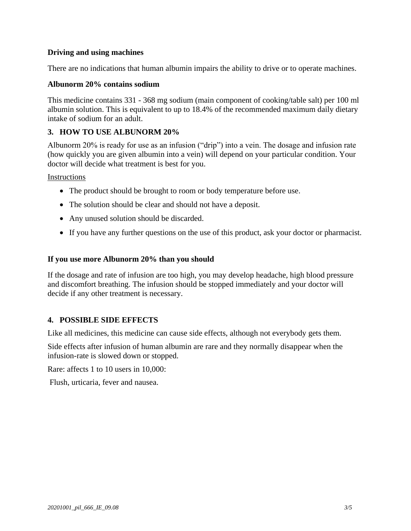## **Driving and using machines**

There are no indications that human albumin impairs the ability to drive or to operate machines.

### **Albunorm 20% contains sodium**

This medicine contains 331 - 368 mg sodium (main component of cooking/table salt) per 100 ml albumin solution. This is equivalent to up to 18.4% of the recommended maximum daily dietary intake of sodium for an adult.

## **3. HOW TO USE ALBUNORM 20%**

Albunorm 20% is ready for use as an infusion ("drip") into a vein. The dosage and infusion rate (how quickly you are given albumin into a vein) will depend on your particular condition. Your doctor will decide what treatment is best for you.

Instructions

- The product should be brought to room or body temperature before use.
- The solution should be clear and should not have a deposit.
- Any unused solution should be discarded.
- If you have any further questions on the use of this product, ask your doctor or pharmacist.

#### **If you use more Albunorm 20% than you should**

If the dosage and rate of infusion are too high, you may develop headache, high blood pressure and discomfort breathing. The infusion should be stopped immediately and your doctor will decide if any other treatment is necessary.

### **4. POSSIBLE SIDE EFFECTS**

Like all medicines, this medicine can cause side effects, although not everybody gets them.

Side effects after infusion of human albumin are rare and they normally disappear when the infusion-rate is slowed down or stopped.

Rare: affects 1 to 10 users in 10,000:

Flush, urticaria, fever and nausea.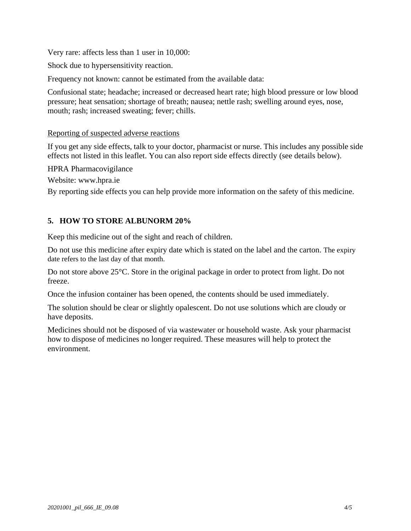Very rare: affects less than 1 user in 10,000:

Shock due to hypersensitivity reaction.

Frequency not known: cannot be estimated from the available data:

Confusional state; headache; increased or decreased heart rate; high blood pressure or low blood pressure; heat sensation; [shortage](http://dict.leo.org/se?lp=ende&p=/Mn4k.&search=shortage) [of](http://dict.leo.org/se?lp=ende&p=/Mn4k.&search=of) [breath;](http://dict.leo.org/se?lp=ende&p=/Mn4k.&search=breath) nausea; nettle rash; swelling around eyes, nose, mouth; rash; increased sweating; fever; chills.

## Reporting of suspected adverse reactions

If you get any side effects, talk to your doctor, pharmacist or nurse. This includes any possible side effects not listed in this leaflet. You can also report side effects directly (see details below).

HPRA Pharmacovigilance

Website: www.hpra.ie

By reporting side effects you can help provide more information on the safety of this medicine.

# **5. HOW TO STORE ALBUNORM 20%**

Keep this medicine out of the sight and reach of children.

Do not use this medicine after expiry date which is stated on the label and the carton. The expiry date refers to the last day of that month.

Do not store above 25°C. Store in the original package in order to protect from light. Do not freeze.

Once the infusion container has been opened, the contents should be used immediately.

The solution should be clear or slightly opalescent. Do not use solutions which are cloudy or have deposits.

Medicines should not be disposed of via wastewater or household waste. Ask your pharmacist how to dispose of medicines no longer required. These measures will help to protect the environment.